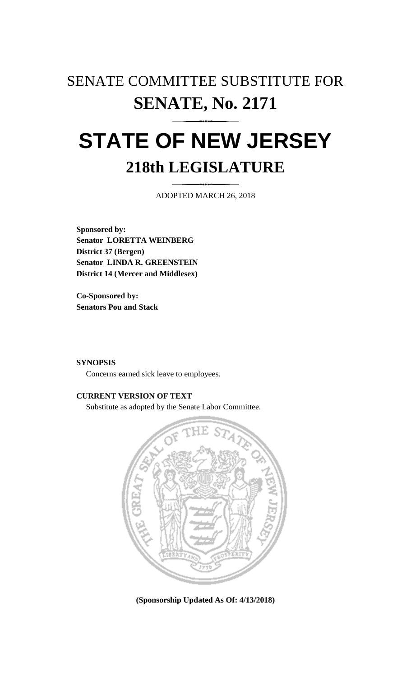# SENATE COMMITTEE SUBSTITUTE FOR **SENATE, No. 2171**

# **STATE OF NEW JERSEY 218th LEGISLATURE**

ADOPTED MARCH 26, 2018

**Sponsored by: Senator LORETTA WEINBERG District 37 (Bergen) Senator LINDA R. GREENSTEIN District 14 (Mercer and Middlesex)**

**Co-Sponsored by: Senators Pou and Stack**

## **SYNOPSIS**

Concerns earned sick leave to employees.

# **CURRENT VERSION OF TEXT**

Substitute as adopted by the Senate Labor Committee.



**(Sponsorship Updated As Of: 4/13/2018)**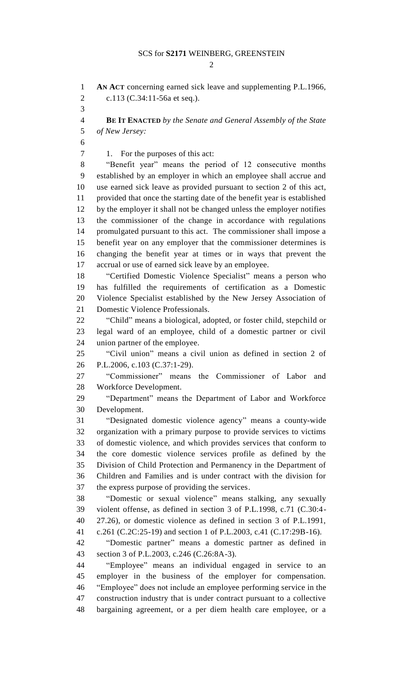$\mathcal{D}$ 

 **AN ACT** concerning earned sick leave and supplementing P.L.1966, c.113 (C.34:11-56a et seq.). **BE IT ENACTED** *by the Senate and General Assembly of the State of New Jersey:* 7 1. For the purposes of this act: "Benefit year" means the period of 12 consecutive months established by an employer in which an employee shall accrue and use earned sick leave as provided pursuant to section 2 of this act, provided that once the starting date of the benefit year is established by the employer it shall not be changed unless the employer notifies the commissioner of the change in accordance with regulations promulgated pursuant to this act. The commissioner shall impose a benefit year on any employer that the commissioner determines is changing the benefit year at times or in ways that prevent the accrual or use of earned sick leave by an employee. "Certified Domestic Violence Specialist" means a person who has fulfilled the requirements of certification as a Domestic Violence Specialist established by the New Jersey Association of Domestic Violence Professionals. "Child" means a biological, adopted, or foster child, stepchild or legal ward of an employee, child of a domestic partner or civil union partner of the employee. "Civil union" means a civil union as defined in section 2 of P.L.2006, c.103 (C.37:1-29). "Commissioner" means the Commissioner of Labor and Workforce Development. "Department" means the Department of Labor and Workforce Development. "Designated domestic violence agency" means a county-wide organization with a primary purpose to provide services to victims of domestic violence, and which provides services that conform to the core domestic violence services profile as defined by the Division of Child Protection and Permanency in the Department of Children and Families and is under contract with the division for the express purpose of providing the services. "Domestic or sexual violence" means stalking, any sexually violent offense, as defined in section 3 of P.L.1998, c.71 (C.30:4- 27.26), or domestic violence as defined in section 3 of P.L.1991, c.261 (C.2C:25-19) and section 1 of P.L.2003, c.41 (C.17:29B-16). "Domestic partner" means a domestic partner as defined in section 3 of P.L.2003, c.246 (C.26:8A-3). "Employee" means an individual engaged in service to an employer in the business of the employer for compensation. "Employee" does not include an employee performing service in the construction industry that is under contract pursuant to a collective bargaining agreement, or a per diem health care employee, or a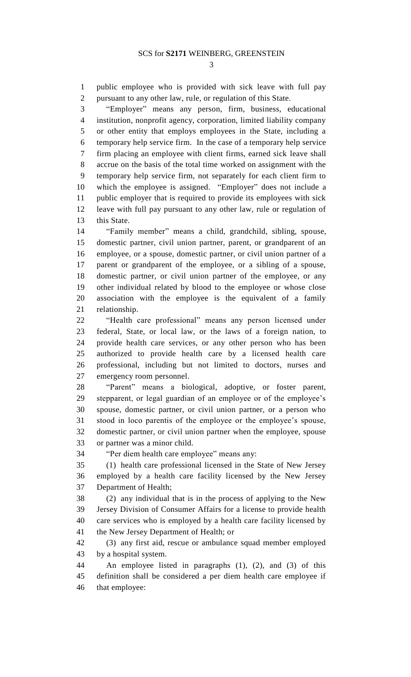public employee who is provided with sick leave with full pay pursuant to any other law, rule, or regulation of this State.

 "Employer" means any person, firm, business, educational institution, nonprofit agency, corporation, limited liability company or other entity that employs employees in the State, including a temporary help service firm. In the case of a temporary help service firm placing an employee with client firms, earned sick leave shall accrue on the basis of the total time worked on assignment with the temporary help service firm, not separately for each client firm to which the employee is assigned. "Employer" does not include a public employer that is required to provide its employees with sick leave with full pay pursuant to any other law, rule or regulation of 13 this State.

 "Family member" means a child, grandchild, sibling, spouse, domestic partner, civil union partner, parent, or grandparent of an employee, or a spouse, domestic partner, or civil union partner of a parent or grandparent of the employee, or a sibling of a spouse, domestic partner, or civil union partner of the employee, or any other individual related by blood to the employee or whose close association with the employee is the equivalent of a family relationship.

 "Health care professional" means any person licensed under federal, State, or local law, or the laws of a foreign nation, to provide health care services, or any other person who has been authorized to provide health care by a licensed health care professional, including but not limited to doctors, nurses and emergency room personnel.

 "Parent" means a biological, adoptive, or foster parent, stepparent, or legal guardian of an employee or of the employee's spouse, domestic partner, or civil union partner, or a person who stood in loco parentis of the employee or the employee's spouse, domestic partner, or civil union partner when the employee, spouse or partner was a minor child.

"Per diem health care employee" means any:

 (1) health care professional licensed in the State of New Jersey employed by a health care facility licensed by the New Jersey Department of Health;

 (2) any individual that is in the process of applying to the New Jersey Division of Consumer Affairs for a license to provide health care services who is employed by a health care facility licensed by the New Jersey Department of Health; or

 (3) any first aid, rescue or ambulance squad member employed by a hospital system.

 An employee listed in paragraphs (1), (2), and (3) of this definition shall be considered a per diem health care employee if that employee: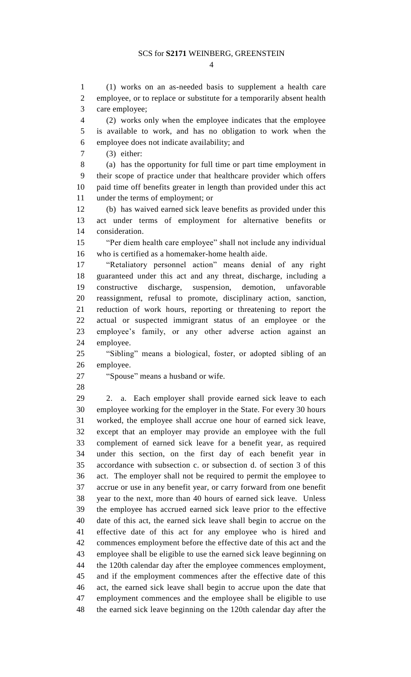$\Delta$ 

 (1) works on an as-needed basis to supplement a health care employee, or to replace or substitute for a temporarily absent health care employee;

 (2) works only when the employee indicates that the employee is available to work, and has no obligation to work when the employee does not indicate availability; and

(3) either:

 (a) has the opportunity for full time or part time employment in their scope of practice under that healthcare provider which offers paid time off benefits greater in length than provided under this act under the terms of employment; or

 (b) has waived earned sick leave benefits as provided under this act under terms of employment for alternative benefits or consideration.

 "Per diem health care employee" shall not include any individual who is certified as a homemaker-home health aide.

 "Retaliatory personnel action" means denial of any right guaranteed under this act and any threat, discharge, including a constructive discharge, suspension, demotion, unfavorable reassignment, refusal to promote, disciplinary action, sanction, reduction of work hours, reporting or threatening to report the actual or suspected immigrant status of an employee or the employee's family, or any other adverse action against an employee.

 "Sibling" means a biological, foster, or adopted sibling of an employee.

"Spouse" means a husband or wife.

 2. a. Each employer shall provide earned sick leave to each employee working for the employer in the State. For every 30 hours worked, the employee shall accrue one hour of earned sick leave, except that an employer may provide an employee with the full complement of earned sick leave for a benefit year, as required under this section, on the first day of each benefit year in accordance with subsection c. or subsection d. of section 3 of this act. The employer shall not be required to permit the employee to accrue or use in any benefit year, or carry forward from one benefit year to the next, more than 40 hours of earned sick leave. Unless the employee has accrued earned sick leave prior to the effective date of this act, the earned sick leave shall begin to accrue on the effective date of this act for any employee who is hired and commences employment before the effective date of this act and the employee shall be eligible to use the earned sick leave beginning on the 120th calendar day after the employee commences employment, and if the employment commences after the effective date of this act, the earned sick leave shall begin to accrue upon the date that employment commences and the employee shall be eligible to use the earned sick leave beginning on the 120th calendar day after the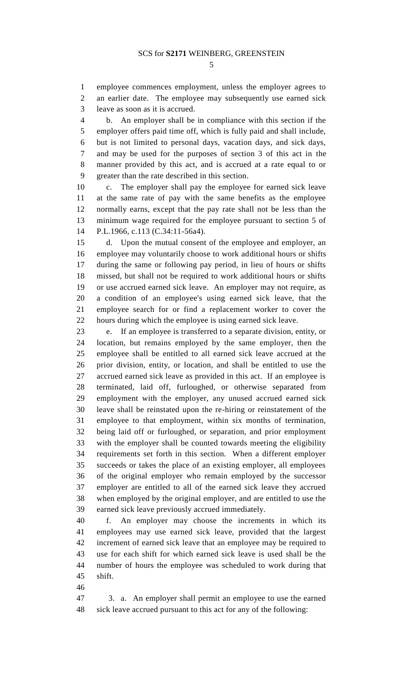employee commences employment, unless the employer agrees to an earlier date. The employee may subsequently use earned sick leave as soon as it is accrued.

 b. An employer shall be in compliance with this section if the employer offers paid time off, which is fully paid and shall include, but is not limited to personal days, vacation days, and sick days, and may be used for the purposes of section 3 of this act in the manner provided by this act, and is accrued at a rate equal to or greater than the rate described in this section.

 c. The employer shall pay the employee for earned sick leave at the same rate of pay with the same benefits as the employee normally earns, except that the pay rate shall not be less than the minimum wage required for the employee pursuant to section 5 of P.L.1966, c.113 (C.34:11-56a4).

 d. Upon the mutual consent of the employee and employer, an employee may voluntarily choose to work additional hours or shifts during the same or following pay period, in lieu of hours or shifts missed, but shall not be required to work additional hours or shifts or use accrued earned sick leave. An employer may not require, as a condition of an employee's using earned sick leave, that the employee search for or find a replacement worker to cover the hours during which the employee is using earned sick leave.

 e. If an employee is transferred to a separate division, entity, or location, but remains employed by the same employer, then the employee shall be entitled to all earned sick leave accrued at the prior division, entity, or location, and shall be entitled to use the accrued earned sick leave as provided in this act. If an employee is terminated, laid off, furloughed, or otherwise separated from employment with the employer, any unused accrued earned sick leave shall be reinstated upon the re-hiring or reinstatement of the employee to that employment, within six months of termination, being laid off or furloughed, or separation, and prior employment with the employer shall be counted towards meeting the eligibility requirements set forth in this section. When a different employer succeeds or takes the place of an existing employer, all employees of the original employer who remain employed by the successor employer are entitled to all of the earned sick leave they accrued when employed by the original employer, and are entitled to use the earned sick leave previously accrued immediately.

 f. An employer may choose the increments in which its employees may use earned sick leave, provided that the largest increment of earned sick leave that an employee may be required to use for each shift for which earned sick leave is used shall be the number of hours the employee was scheduled to work during that shift.

 3. a. An employer shall permit an employee to use the earned sick leave accrued pursuant to this act for any of the following: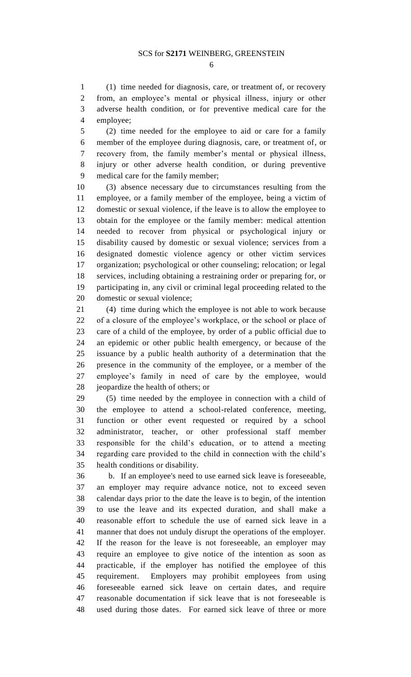(1) time needed for diagnosis, care, or treatment of, or recovery from, an employee's mental or physical illness, injury or other adverse health condition, or for preventive medical care for the employee;

 (2) time needed for the employee to aid or care for a family member of the employee during diagnosis, care, or treatment of, or recovery from, the family member's mental or physical illness, injury or other adverse health condition, or during preventive medical care for the family member;

 (3) absence necessary due to circumstances resulting from the employee, or a family member of the employee, being a victim of domestic or sexual violence, if the leave is to allow the employee to obtain for the employee or the family member: medical attention needed to recover from physical or psychological injury or disability caused by domestic or sexual violence; services from a designated domestic violence agency or other victim services organization; psychological or other counseling; relocation; or legal services, including obtaining a restraining order or preparing for, or participating in, any civil or criminal legal proceeding related to the domestic or sexual violence;

 (4) time during which the employee is not able to work because of a closure of the employee's workplace, or the school or place of care of a child of the employee, by order of a public official due to an epidemic or other public health emergency, or because of the issuance by a public health authority of a determination that the presence in the community of the employee, or a member of the employee's family in need of care by the employee, would jeopardize the health of others; or

 (5) time needed by the employee in connection with a child of the employee to attend a school-related conference, meeting, function or other event requested or required by a school administrator, teacher, or other professional staff member responsible for the child's education, or to attend a meeting regarding care provided to the child in connection with the child's health conditions or disability.

 b. If an employee's need to use earned sick leave is foreseeable, an employer may require advance notice, not to exceed seven calendar days prior to the date the leave is to begin, of the intention to use the leave and its expected duration, and shall make a reasonable effort to schedule the use of earned sick leave in a manner that does not unduly disrupt the operations of the employer. If the reason for the leave is not foreseeable, an employer may require an employee to give notice of the intention as soon as practicable, if the employer has notified the employee of this requirement. Employers may prohibit employees from using foreseeable earned sick leave on certain dates, and require reasonable documentation if sick leave that is not foreseeable is used during those dates. For earned sick leave of three or more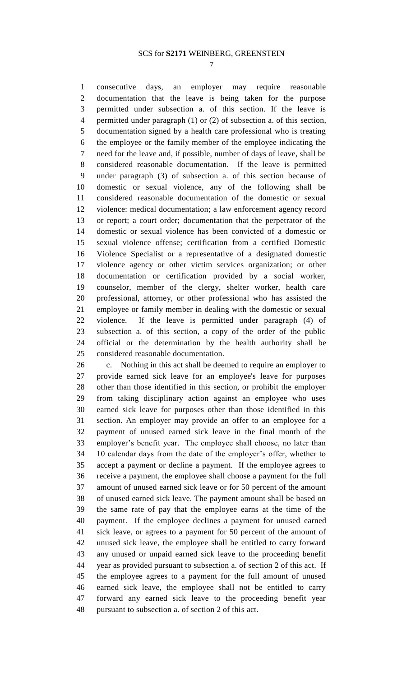consecutive days, an employer may require reasonable documentation that the leave is being taken for the purpose permitted under subsection a. of this section. If the leave is permitted under paragraph (1) or (2) of subsection a. of this section, documentation signed by a health care professional who is treating the employee or the family member of the employee indicating the need for the leave and, if possible, number of days of leave, shall be considered reasonable documentation. If the leave is permitted under paragraph (3) of subsection a. of this section because of domestic or sexual violence, any of the following shall be considered reasonable documentation of the domestic or sexual violence: medical documentation; a law enforcement agency record or report; a court order; documentation that the perpetrator of the domestic or sexual violence has been convicted of a domestic or sexual violence offense; certification from a certified Domestic Violence Specialist or a representative of a designated domestic violence agency or other victim services organization; or other documentation or certification provided by a social worker, counselor, member of the clergy, shelter worker, health care professional, attorney, or other professional who has assisted the employee or family member in dealing with the domestic or sexual violence. If the leave is permitted under paragraph (4) of subsection a. of this section, a copy of the order of the public official or the determination by the health authority shall be considered reasonable documentation.

 c. Nothing in this act shall be deemed to require an employer to provide earned sick leave for an employee's leave for purposes other than those identified in this section, or prohibit the employer from taking disciplinary action against an employee who uses earned sick leave for purposes other than those identified in this section. An employer may provide an offer to an employee for a payment of unused earned sick leave in the final month of the employer's benefit year. The employee shall choose, no later than 10 calendar days from the date of the employer's offer, whether to accept a payment or decline a payment. If the employee agrees to receive a payment, the employee shall choose a payment for the full amount of unused earned sick leave or for 50 percent of the amount of unused earned sick leave. The payment amount shall be based on the same rate of pay that the employee earns at the time of the payment. If the employee declines a payment for unused earned sick leave, or agrees to a payment for 50 percent of the amount of unused sick leave, the employee shall be entitled to carry forward any unused or unpaid earned sick leave to the proceeding benefit year as provided pursuant to subsection a. of section 2 of this act. If the employee agrees to a payment for the full amount of unused earned sick leave, the employee shall not be entitled to carry forward any earned sick leave to the proceeding benefit year pursuant to subsection a. of section 2 of this act.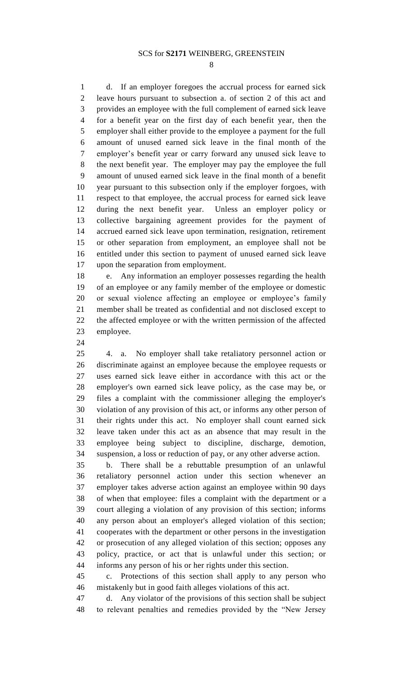d. If an employer foregoes the accrual process for earned sick leave hours pursuant to subsection a. of section 2 of this act and provides an employee with the full complement of earned sick leave for a benefit year on the first day of each benefit year, then the employer shall either provide to the employee a payment for the full amount of unused earned sick leave in the final month of the employer's benefit year or carry forward any unused sick leave to the next benefit year. The employer may pay the employee the full amount of unused earned sick leave in the final month of a benefit year pursuant to this subsection only if the employer forgoes, with respect to that employee, the accrual process for earned sick leave during the next benefit year. Unless an employer policy or collective bargaining agreement provides for the payment of accrued earned sick leave upon termination, resignation, retirement or other separation from employment, an employee shall not be entitled under this section to payment of unused earned sick leave upon the separation from employment.

 e. Any information an employer possesses regarding the health of an employee or any family member of the employee or domestic or sexual violence affecting an employee or employee's family member shall be treated as confidential and not disclosed except to the affected employee or with the written permission of the affected employee.

 4. a. No employer shall take retaliatory personnel action or discriminate against an employee because the employee requests or uses earned sick leave either in accordance with this act or the employer's own earned sick leave policy, as the case may be, or files a complaint with the commissioner alleging the employer's violation of any provision of this act, or informs any other person of their rights under this act. No employer shall count earned sick leave taken under this act as an absence that may result in the employee being subject to discipline, discharge, demotion, suspension, a loss or reduction of pay, or any other adverse action.

 b. There shall be a rebuttable presumption of an unlawful retaliatory personnel action under this section whenever an employer takes adverse action against an employee within 90 days of when that employee: files a complaint with the department or a court alleging a violation of any provision of this section; informs any person about an employer's alleged violation of this section; cooperates with the department or other persons in the investigation or prosecution of any alleged violation of this section; opposes any policy, practice, or act that is unlawful under this section; or informs any person of his or her rights under this section.

 c. Protections of this section shall apply to any person who mistakenly but in good faith alleges violations of this act.

 d. Any violator of the provisions of this section shall be subject to relevant penalties and remedies provided by the "New Jersey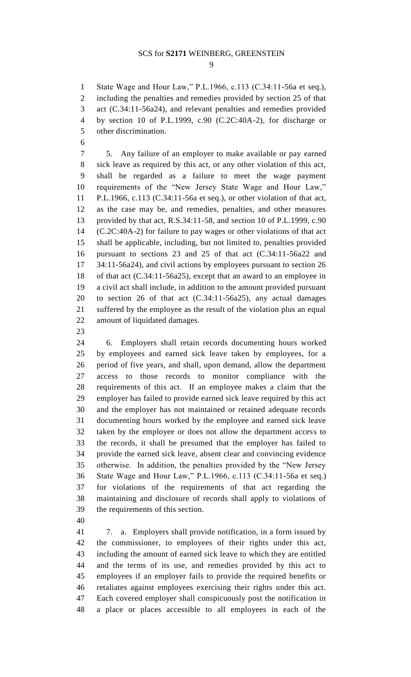State Wage and Hour Law," P.L.1966, c.113 (C.34:11-56a et seq.), including the penalties and remedies provided by section 25 of that act (C.34:11-56a24), and relevant penalties and remedies provided by section 10 of P.L.1999, c.90 (C.2C:40A-2), for discharge or other discrimination.

 5. Any failure of an employer to make available or pay earned sick leave as required by this act, or any other violation of this act, shall be regarded as a failure to meet the wage payment requirements of the "New Jersey State Wage and Hour Law," P.L.1966, c.113 (C.34:11-56a et seq.), or other violation of that act, as the case may be, and remedies, penalties, and other measures provided by that act, R.S.34:11-58, and section 10 of P.L.1999, c.90 (C.2C:40A-2) for failure to pay wages or other violations of that act shall be applicable, including, but not limited to, penalties provided pursuant to sections 23 and 25 of that act (C.34:11-56a22 and 34:11-56a24), and civil actions by employees pursuant to section 26 of that act (C.34:11-56a25), except that an award to an employee in a civil act shall include, in addition to the amount provided pursuant to section 26 of that act (C.34:11-56a25), any actual damages suffered by the employee as the result of the violation plus an equal amount of liquidated damages.

 6. Employers shall retain records documenting hours worked by employees and earned sick leave taken by employees, for a period of five years, and shall, upon demand, allow the department access to those records to monitor compliance with the requirements of this act. If an employee makes a claim that the employer has failed to provide earned sick leave required by this act and the employer has not maintained or retained adequate records documenting hours worked by the employee and earned sick leave taken by the employee or does not allow the department access to the records, it shall be presumed that the employer has failed to provide the earned sick leave, absent clear and convincing evidence otherwise. In addition, the penalties provided by the "New Jersey State Wage and Hour Law," P.L.1966, c.113 (C.34:11-56a et seq.) for violations of the requirements of that act regarding the maintaining and disclosure of records shall apply to violations of the requirements of this section.

 7. a. Employers shall provide notification, in a form issued by the commissioner, to employees of their rights under this act, including the amount of earned sick leave to which they are entitled and the terms of its use, and remedies provided by this act to employees if an employer fails to provide the required benefits or retaliates against employees exercising their rights under this act. Each covered employer shall conspicuously post the notification in a place or places accessible to all employees in each of the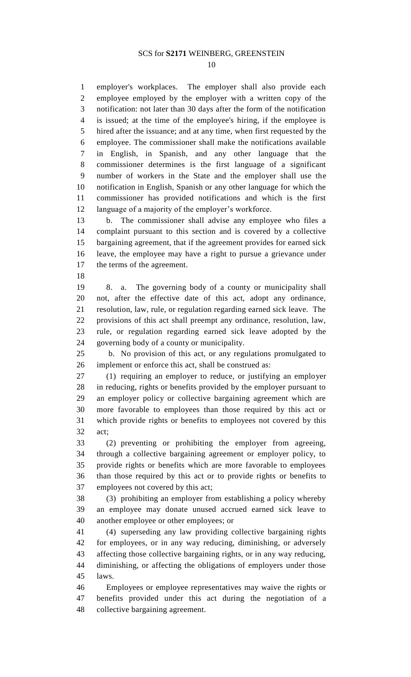employer's workplaces. The employer shall also provide each employee employed by the employer with a written copy of the notification: not later than 30 days after the form of the notification is issued; at the time of the employee's hiring, if the employee is hired after the issuance; and at any time, when first requested by the employee. The commissioner shall make the notifications available in English, in Spanish, and any other language that the commissioner determines is the first language of a significant number of workers in the State and the employer shall use the notification in English, Spanish or any other language for which the commissioner has provided notifications and which is the first language of a majority of the employer's workforce.

 b. The commissioner shall advise any employee who files a complaint pursuant to this section and is covered by a collective bargaining agreement, that if the agreement provides for earned sick leave, the employee may have a right to pursue a grievance under the terms of the agreement.

 8. a. The governing body of a county or municipality shall not, after the effective date of this act, adopt any ordinance, resolution, law, rule, or regulation regarding earned sick leave. The provisions of this act shall preempt any ordinance, resolution, law, rule, or regulation regarding earned sick leave adopted by the governing body of a county or municipality.

 b. No provision of this act, or any regulations promulgated to implement or enforce this act, shall be construed as:

 (1) requiring an employer to reduce, or justifying an employer in reducing, rights or benefits provided by the employer pursuant to an employer policy or collective bargaining agreement which are more favorable to employees than those required by this act or which provide rights or benefits to employees not covered by this act;

 (2) preventing or prohibiting the employer from agreeing, through a collective bargaining agreement or employer policy, to provide rights or benefits which are more favorable to employees than those required by this act or to provide rights or benefits to employees not covered by this act;

 (3) prohibiting an employer from establishing a policy whereby an employee may donate unused accrued earned sick leave to another employee or other employees; or

 (4) superseding any law providing collective bargaining rights for employees, or in any way reducing, diminishing, or adversely affecting those collective bargaining rights, or in any way reducing, diminishing, or affecting the obligations of employers under those laws.

 Employees or employee representatives may waive the rights or benefits provided under this act during the negotiation of a collective bargaining agreement.